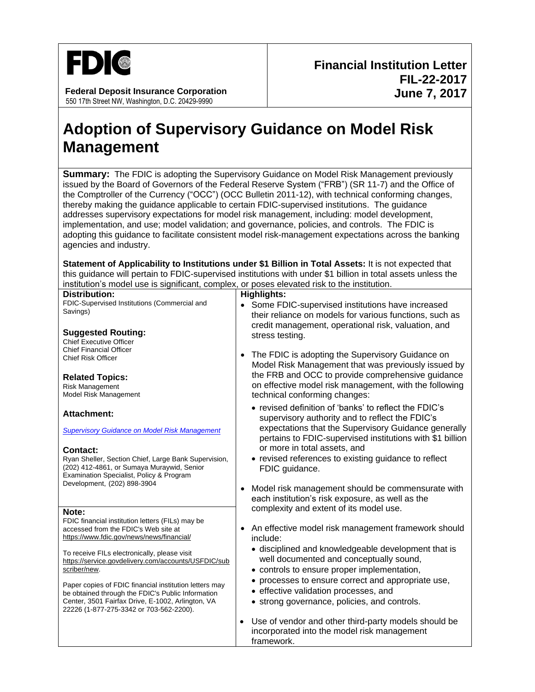

**Federal Deposit Insurance Corporation** 550 17th Street NW, Washington, D.C. 20429-9990

## **Adoption of Supervisory Guidance on Model Risk Management**

**Summary:** The FDIC is adopting the Supervisory Guidance on Model Risk Management previously issued by the Board of Governors of the Federal Reserve System ("FRB") (SR 11-7) and the Office of the Comptroller of the Currency ("OCC") (OCC Bulletin 2011-12), with technical conforming changes, thereby making the guidance applicable to certain FDIC-supervised institutions. The guidance addresses supervisory expectations for model risk management, including: model development, implementation, and use; model validation; and governance, policies, and controls. The FDIC is adopting this guidance to facilitate consistent model risk-management expectations across the banking agencies and industry.

**Statement of Applicability to Institutions under \$1 Billion in Total Assets:** It is not expected that this guidance will pertain to FDIC-supervised institutions with under \$1 billion in total assets unless the institution's model use is significant, complex, or poses elevated risk to the institution.

| <b>Distribution:</b>                                                                                                                              | <b>Highlights:</b>                                                                                                                                               |
|---------------------------------------------------------------------------------------------------------------------------------------------------|------------------------------------------------------------------------------------------------------------------------------------------------------------------|
| FDIC-Supervised Institutions (Commercial and                                                                                                      | • Some FDIC-supervised institutions have increased                                                                                                               |
| Savings)                                                                                                                                          | their reliance on models for various functions, such as                                                                                                          |
| <b>Suggested Routing:</b><br><b>Chief Executive Officer</b>                                                                                       | credit management, operational risk, valuation, and<br>stress testing.                                                                                           |
| <b>Chief Financial Officer</b><br><b>Chief Risk Officer</b>                                                                                       | The FDIC is adopting the Supervisory Guidance on<br>$\bullet$<br>Model Risk Management that was previously issued by                                             |
| <b>Related Topics:</b><br><b>Risk Management</b><br>Model Risk Management                                                                         | the FRB and OCC to provide comprehensive guidance<br>on effective model risk management, with the following<br>technical conforming changes:                     |
| <b>Attachment:</b>                                                                                                                                | • revised definition of 'banks' to reflect the FDIC's<br>supervisory authority and to reflect the FDIC's<br>expectations that the Supervisory Guidance generally |
| <b>Supervisory Guidance on Model Risk Management</b><br><b>Contact:</b>                                                                           | pertains to FDIC-supervised institutions with \$1 billion<br>or more in total assets, and                                                                        |
| Ryan Sheller, Section Chief, Large Bank Supervision,<br>(202) 412-4861, or Sumaya Muraywid, Senior<br>Examination Specialist, Policy & Program    | • revised references to existing guidance to reflect<br>FDIC guidance.                                                                                           |
| Development, (202) 898-3904                                                                                                                       | Model risk management should be commensurate with<br>$\bullet$<br>each institution's risk exposure, as well as the                                               |
| Note:                                                                                                                                             | complexity and extent of its model use.                                                                                                                          |
| FDIC financial institution letters (FILs) may be<br>accessed from the FDIC's Web site at<br>https://www.fdic.gov/news/news/financial/             | • An effective model risk management framework should<br>include:                                                                                                |
| To receive FILs electronically, please visit<br>https://service.govdelivery.com/accounts/USFDIC/sub<br>scriber/new.                               | • disciplined and knowledgeable development that is<br>well documented and conceptually sound,<br>• controls to ensure proper implementation,                    |
|                                                                                                                                                   | • processes to ensure correct and appropriate use,                                                                                                               |
| Paper copies of FDIC financial institution letters may                                                                                            | • effective validation processes, and                                                                                                                            |
| be obtained through the FDIC's Public Information<br>Center, 3501 Fairfax Drive, E-1002, Arlington, VA<br>22226 (1-877-275-3342 or 703-562-2200). | • strong governance, policies, and controls.                                                                                                                     |
|                                                                                                                                                   | Use of vendor and other third-party models should be<br>incorporated into the model risk management<br>framework.                                                |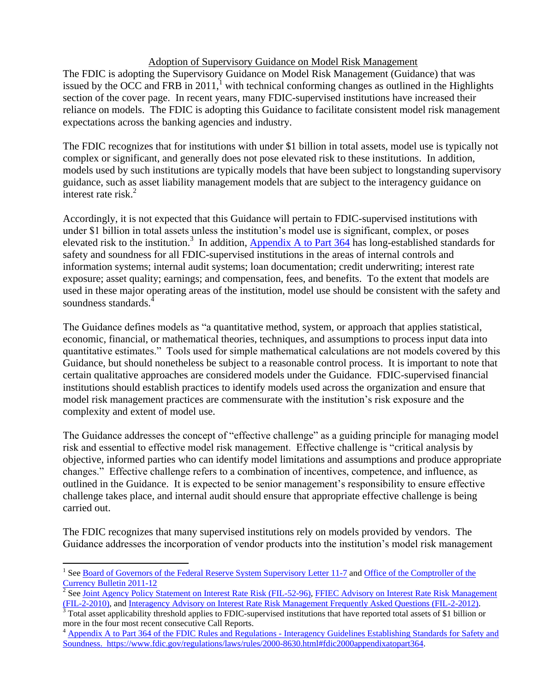## Adoption of Supervisory Guidance on Model Risk Management

The FDIC is adopting the Supervisory Guidance on Model Risk Management (Guidance) that was issued by the OCC and FRB in  $2011$ , with technical conforming changes as outlined in the Highlights section of the cover page. In recent years, many FDIC-supervised institutions have increased their reliance on models. The FDIC is adopting this Guidance to facilitate consistent model risk management expectations across the banking agencies and industry.

The FDIC recognizes that for institutions with under \$1 billion in total assets, model use is typically not complex or significant, and generally does not pose elevated risk to these institutions. In addition, models used by such institutions are typically models that have been subject to longstanding supervisory guidance, such as asset liability management models that are subject to the interagency guidance on interest rate risk. $^{2}$ 

Accordingly, it is not expected that this Guidance will pertain to FDIC-supervised institutions with under \$1 billion in total assets unless the institution's model use is significant, complex, or poses elevated risk to the institution.<sup>3</sup> In addition, Appendix A to Part  $364$  has long-established standards for safety and soundness for all FDIC-supervised institutions in the areas of internal controls and information systems; internal audit systems; loan documentation; credit underwriting; interest rate exposure; asset quality; earnings; and compensation, fees, and benefits. To the extent that models are used in these major operating areas of the institution, model use should be consistent with the safety and soundness standards.

The Guidance defines models as "a quantitative method, system, or approach that applies statistical, economic, financial, or mathematical theories, techniques, and assumptions to process input data into quantitative estimates." Tools used for simple mathematical calculations are not models covered by this Guidance, but should nonetheless be subject to a reasonable control process. It is important to note that certain qualitative approaches are considered models under the Guidance. FDIC-supervised financial institutions should establish practices to identify models used across the organization and ensure that model risk management practices are commensurate with the institution's risk exposure and the complexity and extent of model use.

The Guidance addresses the concept of "effective challenge" as a guiding principle for managing model risk and essential to effective model risk management. Effective challenge is "critical analysis by objective, informed parties who can identify model limitations and assumptions and produce appropriate changes." Effective challenge refers to a combination of incentives, competence, and influence, as outlined in the Guidance. It is expected to be senior management's responsibility to ensure effective challenge takes place, and internal audit should ensure that appropriate effective challenge is being carried out.

The FDIC recognizes that many supervised institutions rely on models provided by vendors. The Guidance addresses the incorporation of vendor products into the institution's model risk management

 $\overline{a}$ 

<sup>&</sup>lt;sup>1</sup> See <u>Board of Governors of the Federal Reserve System Supervisory Letter 11-7</u> and Office of the Comptroller of the [Currency Bulletin 2011-12](https://occ.gov/news-issuances/bulletins/2011/bulletin-2011-12.html)

<sup>&</sup>lt;sup>2</sup> Se[e Joint Agency Policy Statement on Interest Rate Risk \(FIL-52-96\),](http://www.fdic.gov/news/news/financial/1996/fil9652.html) FFIEC Advisory on Interest Rate Risk Management [\(FIL-2-2010\),](http://www.fdic.gov/news/news/financial/2010/fil10002.html) and [Interagency Advisory on Interest Rate Risk Management Frequently Asked Questions \(FIL-2-2012\).](http://www.fdic.gov/news/news/financial/2012/fil12002.html)

 $\frac{3}{3}$  Total asset applicability threshold applies to FDIC-supervised institutions that have reported total assets of \$1 billion or more in the four most recent consecutive Call Reports.

<sup>&</sup>lt;sup>4</sup> [Appendix A to Part 364 of the FDIC Rules and Regulations -](https://www.fdic.gov/regulations/laws/rules/2000-8630.html#fdic2000appendixatopart364) Interagency Guidelines Establishing Standards for Safety and [Soundness.](https://www.fdic.gov/regulations/laws/rules/2000-8630.html#fdic2000appendixatopart364) [https://www.fdic.gov/regulations/laws/rules/2000-8630.html#fdic2000appendixatopart364.](https://www.fdic.gov/regulations/laws/rules/2000-8630.html#fdic2000appendixatopart364)